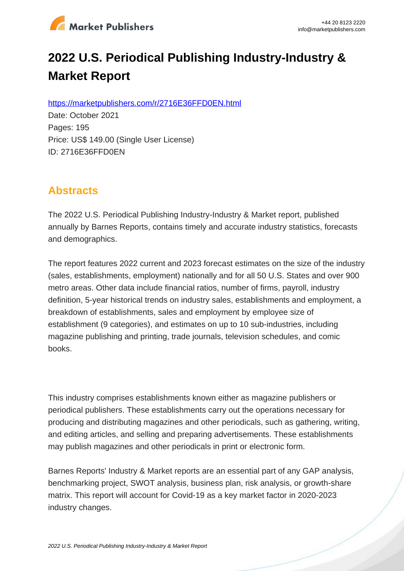

# **2022 U.S. Periodical Publishing Industry-Industry & Market Report**

https://marketpublishers.com/r/2716E36FFD0EN.html

Date: October 2021 Pages: 195 Price: US\$ 149.00 (Single User License) ID: 2716E36FFD0EN

## **Abstracts**

The 2022 U.S. Periodical Publishing Industry-Industry & Market report, published annually by Barnes Reports, contains timely and accurate industry statistics, forecasts and demographics.

The report features 2022 current and 2023 forecast estimates on the size of the industry (sales, establishments, employment) nationally and for all 50 U.S. States and over 900 metro areas. Other data include financial ratios, number of firms, payroll, industry definition, 5-year historical trends on industry sales, establishments and employment, a breakdown of establishments, sales and employment by employee size of establishment (9 categories), and estimates on up to 10 sub-industries, including magazine publishing and printing, trade journals, television schedules, and comic books.

This industry comprises establishments known either as magazine publishers or periodical publishers. These establishments carry out the operations necessary for producing and distributing magazines and other periodicals, such as gathering, writing, and editing articles, and selling and preparing advertisements. These establishments may publish magazines and other periodicals in print or electronic form.

Barnes Reports' Industry & Market reports are an essential part of any GAP analysis, benchmarking project, SWOT analysis, business plan, risk analysis, or growth-share matrix. This report will account for Covid-19 as a key market factor in 2020-2023 industry changes.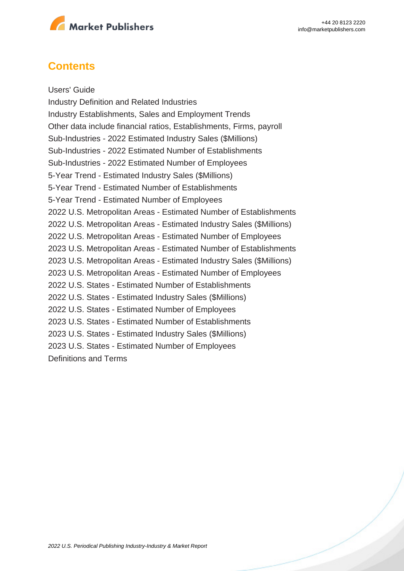

### **Contents**

Users' Guide Industry Definition and Related Industries Industry Establishments, Sales and Employment Trends Other data include financial ratios, Establishments, Firms, payroll Sub-Industries - 2022 Estimated Industry Sales (\$Millions) Sub-Industries - 2022 Estimated Number of Establishments Sub-Industries - 2022 Estimated Number of Employees 5-Year Trend - Estimated Industry Sales (\$Millions) 5-Year Trend - Estimated Number of Establishments 5-Year Trend - Estimated Number of Employees 2022 U.S. Metropolitan Areas - Estimated Number of Establishments 2022 U.S. Metropolitan Areas - Estimated Industry Sales (\$Millions) 2022 U.S. Metropolitan Areas - Estimated Number of Employees 2023 U.S. Metropolitan Areas - Estimated Number of Establishments 2023 U.S. Metropolitan Areas - Estimated Industry Sales (\$Millions) 2023 U.S. Metropolitan Areas - Estimated Number of Employees 2022 U.S. States - Estimated Number of Establishments 2022 U.S. States - Estimated Industry Sales (\$Millions) 2022 U.S. States - Estimated Number of Employees 2023 U.S. States - Estimated Number of Establishments 2023 U.S. States - Estimated Industry Sales (\$Millions) 2023 U.S. States - Estimated Number of Employees Definitions and Terms